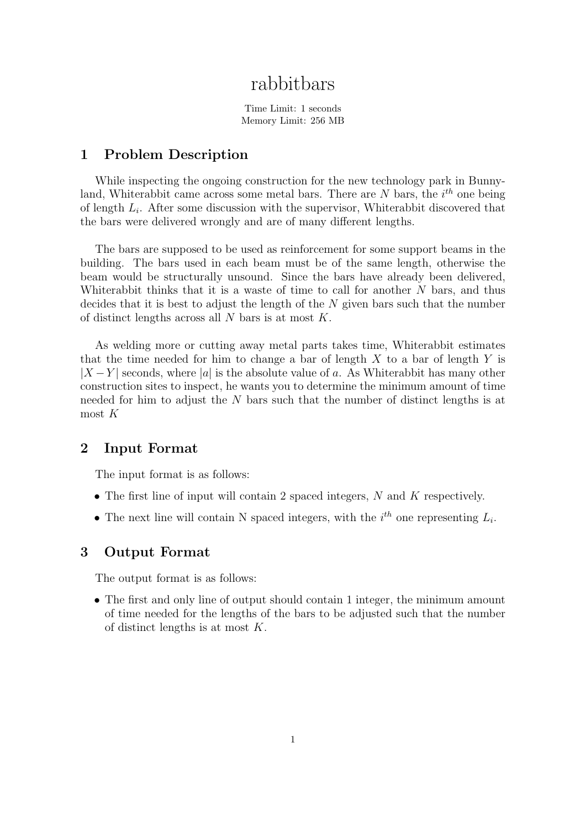# rabbitbars

Time Limit: 1 seconds Memory Limit: 256 MB

#### 1 Problem Description

While inspecting the ongoing construction for the new technology park in Bunnyland, Whiterabbit came across some metal bars. There are  $N$  bars, the  $i<sup>th</sup>$  one being of length  $L_i$ . After some discussion with the supervisor, Whiterabbit discovered that the bars were delivered wrongly and are of many different lengths.

The bars are supposed to be used as reinforcement for some support beams in the building. The bars used in each beam must be of the same length, otherwise the beam would be structurally unsound. Since the bars have already been delivered, Whiterabbit thinks that it is a waste of time to call for another  $N$  bars, and thus decides that it is best to adjust the length of the N given bars such that the number of distinct lengths across all  $N$  bars is at most  $K$ .

As welding more or cutting away metal parts takes time, Whiterabbit estimates that the time needed for him to change a bar of length  $X$  to a bar of length  $Y$  is  $|X - Y|$  seconds, where |a| is the absolute value of a. As Whiterabbit has many other construction sites to inspect, he wants you to determine the minimum amount of time needed for him to adjust the N bars such that the number of distinct lengths is at most  $K$ 

#### 2 Input Format

The input format is as follows:

- The first line of input will contain 2 spaced integers,  $N$  and  $K$  respectively.
- The next line will contain N spaced integers, with the  $i<sup>th</sup>$  one representing  $L_i$ .

#### 3 Output Format

The output format is as follows:

• The first and only line of output should contain 1 integer, the minimum amount of time needed for the lengths of the bars to be adjusted such that the number of distinct lengths is at most K.